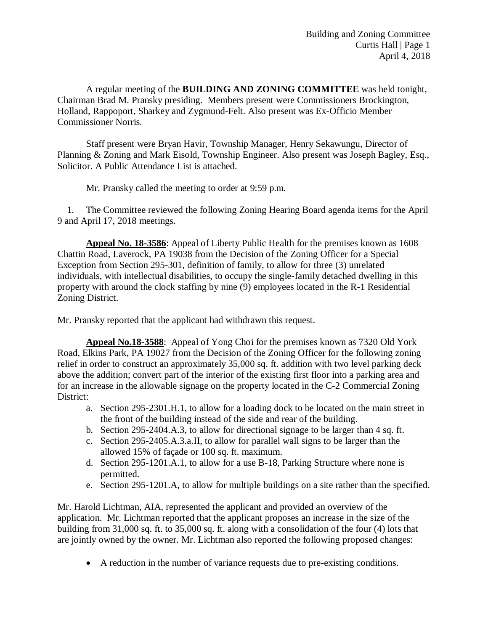A regular meeting of the **BUILDING AND ZONING COMMITTEE** was held tonight, Chairman Brad M. Pransky presiding. Members present were Commissioners Brockington, Holland, Rappoport, Sharkey and Zygmund-Felt. Also present was Ex-Officio Member Commissioner Norris.

Staff present were Bryan Havir, Township Manager, Henry Sekawungu, Director of Planning & Zoning and Mark Eisold, Township Engineer. Also present was Joseph Bagley, Esq., Solicitor. A Public Attendance List is attached.

Mr. Pransky called the meeting to order at 9:59 p.m.

 1. The Committee reviewed the following Zoning Hearing Board agenda items for the April 9 and April 17, 2018 meetings.

**Appeal No. 18-3586**: Appeal of Liberty Public Health for the premises known as 1608 Chattin Road, Laverock, PA 19038 from the Decision of the Zoning Officer for a Special Exception from Section 295-301, definition of family, to allow for three (3) unrelated individuals, with intellectual disabilities, to occupy the single-family detached dwelling in this property with around the clock staffing by nine (9) employees located in the R-1 Residential Zoning District.

Mr. Pransky reported that the applicant had withdrawn this request.

**Appeal No.18-3588**:Appeal of Yong Choi for the premises known as 7320 Old York Road, Elkins Park, PA 19027 from the Decision of the Zoning Officer for the following zoning relief in order to construct an approximately 35,000 sq. ft. addition with two level parking deck above the addition; convert part of the interior of the existing first floor into a parking area and for an increase in the allowable signage on the property located in the C-2 Commercial Zoning District:

- a. Section 295-2301.H.1, to allow for a loading dock to be located on the main street in the front of the building instead of the side and rear of the building.
- b. Section 295-2404.A.3, to allow for directional signage to be larger than 4 sq. ft.
- c. Section 295-2405.A.3.a.II, to allow for parallel wall signs to be larger than the allowed 15% of façade or 100 sq. ft. maximum.
- d. Section 295-1201.A.1, to allow for a use B-18, Parking Structure where none is permitted.
- e. Section 295-1201.A, to allow for multiple buildings on a site rather than the specified.

Mr. Harold Lichtman, AIA, represented the applicant and provided an overview of the application. Mr. Lichtman reported that the applicant proposes an increase in the size of the building from 31,000 sq. ft. to 35,000 sq. ft. along with a consolidation of the four (4) lots that are jointly owned by the owner. Mr. Lichtman also reported the following proposed changes:

A reduction in the number of variance requests due to pre-existing conditions.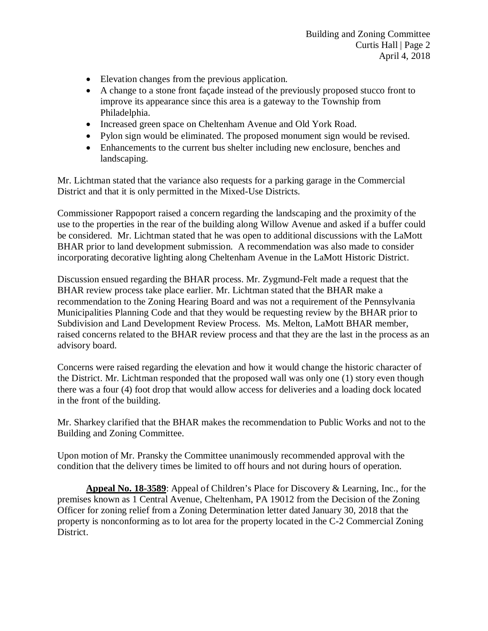- Elevation changes from the previous application.
- A change to a stone front façade instead of the previously proposed stucco front to improve its appearance since this area is a gateway to the Township from Philadelphia.
- Increased green space on Cheltenham Avenue and Old York Road.
- Pylon sign would be eliminated. The proposed monument sign would be revised.
- Enhancements to the current bus shelter including new enclosure, benches and landscaping.

Mr. Lichtman stated that the variance also requests for a parking garage in the Commercial District and that it is only permitted in the Mixed-Use Districts.

Commissioner Rappoport raised a concern regarding the landscaping and the proximity of the use to the properties in the rear of the building along Willow Avenue and asked if a buffer could be considered. Mr. Lichtman stated that he was open to additional discussions with the LaMott BHAR prior to land development submission. A recommendation was also made to consider incorporating decorative lighting along Cheltenham Avenue in the LaMott Historic District.

Discussion ensued regarding the BHAR process. Mr. Zygmund-Felt made a request that the BHAR review process take place earlier. Mr. Lichtman stated that the BHAR make a recommendation to the Zoning Hearing Board and was not a requirement of the Pennsylvania Municipalities Planning Code and that they would be requesting review by the BHAR prior to Subdivision and Land Development Review Process. Ms. Melton, LaMott BHAR member, raised concerns related to the BHAR review process and that they are the last in the process as an advisory board.

Concerns were raised regarding the elevation and how it would change the historic character of the District. Mr. Lichtman responded that the proposed wall was only one (1) story even though there was a four (4) foot drop that would allow access for deliveries and a loading dock located in the front of the building.

Mr. Sharkey clarified that the BHAR makes the recommendation to Public Works and not to the Building and Zoning Committee.

Upon motion of Mr. Pransky the Committee unanimously recommended approval with the condition that the delivery times be limited to off hours and not during hours of operation.

**Appeal No. 18-3589**: Appeal of Children's Place for Discovery & Learning, Inc., for the premises known as 1 Central Avenue, Cheltenham, PA 19012 from the Decision of the Zoning Officer for zoning relief from a Zoning Determination letter dated January 30, 2018 that the property is nonconforming as to lot area for the property located in the C-2 Commercial Zoning District.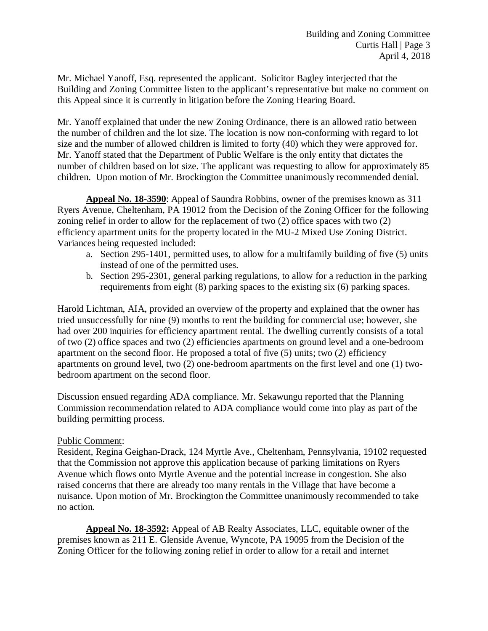Mr. Michael Yanoff, Esq. represented the applicant. Solicitor Bagley interjected that the Building and Zoning Committee listen to the applicant's representative but make no comment on this Appeal since it is currently in litigation before the Zoning Hearing Board.

Mr. Yanoff explained that under the new Zoning Ordinance, there is an allowed ratio between the number of children and the lot size. The location is now non-conforming with regard to lot size and the number of allowed children is limited to forty (40) which they were approved for. Mr. Yanoff stated that the Department of Public Welfare is the only entity that dictates the number of children based on lot size. The applicant was requesting to allow for approximately 85 children. Upon motion of Mr. Brockington the Committee unanimously recommended denial.

**Appeal No. 18-3590**: Appeal of Saundra Robbins, owner of the premises known as 311 Ryers Avenue, Cheltenham, PA 19012 from the Decision of the Zoning Officer for the following zoning relief in order to allow for the replacement of two (2) office spaces with two (2) efficiency apartment units for the property located in the MU-2 Mixed Use Zoning District. Variances being requested included:

- a. Section 295-1401, permitted uses, to allow for a multifamily building of five (5) units instead of one of the permitted uses.
- b. Section 295-2301, general parking regulations, to allow for a reduction in the parking requirements from eight (8) parking spaces to the existing six (6) parking spaces.

Harold Lichtman, AIA, provided an overview of the property and explained that the owner has tried unsuccessfully for nine (9) months to rent the building for commercial use; however, she had over 200 inquiries for efficiency apartment rental. The dwelling currently consists of a total of two (2) office spaces and two (2) efficiencies apartments on ground level and a one-bedroom apartment on the second floor. He proposed a total of five (5) units; two (2) efficiency apartments on ground level, two (2) one-bedroom apartments on the first level and one (1) twobedroom apartment on the second floor.

Discussion ensued regarding ADA compliance. Mr. Sekawungu reported that the Planning Commission recommendation related to ADA compliance would come into play as part of the building permitting process.

## Public Comment:

Resident, Regina Geighan-Drack, 124 Myrtle Ave., Cheltenham, Pennsylvania, 19102 requested that the Commission not approve this application because of parking limitations on Ryers Avenue which flows onto Myrtle Avenue and the potential increase in congestion. She also raised concerns that there are already too many rentals in the Village that have become a nuisance. Upon motion of Mr. Brockington the Committee unanimously recommended to take no action.

**Appeal No. 18-3592:** Appeal of AB Realty Associates, LLC, equitable owner of the premises known as 211 E. Glenside Avenue, Wyncote, PA 19095 from the Decision of the Zoning Officer for the following zoning relief in order to allow for a retail and internet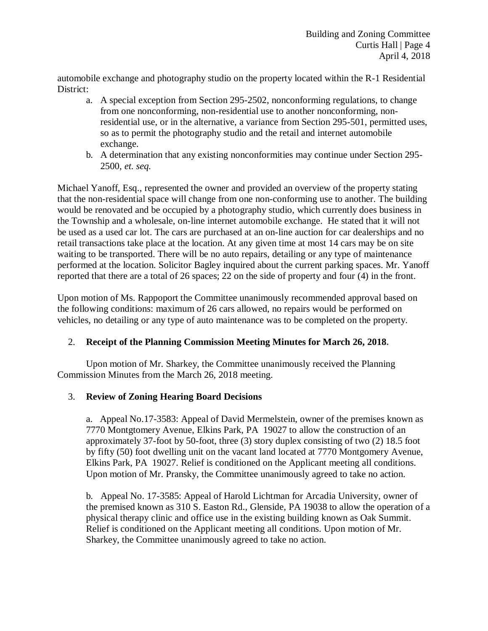automobile exchange and photography studio on the property located within the R-1 Residential District:

- a. A special exception from Section 295-2502, nonconforming regulations, to change from one nonconforming, non-residential use to another nonconforming, nonresidential use, or in the alternative, a variance from Section 295-501, permitted uses, so as to permit the photography studio and the retail and internet automobile exchange.
- b. A determination that any existing nonconformities may continue under Section 295- 2500, *et. seq.*

Michael Yanoff, Esq., represented the owner and provided an overview of the property stating that the non-residential space will change from one non-conforming use to another. The building would be renovated and be occupied by a photography studio, which currently does business in the Township and a wholesale, on-line internet automobile exchange. He stated that it will not be used as a used car lot. The cars are purchased at an on-line auction for car dealerships and no retail transactions take place at the location. At any given time at most 14 cars may be on site waiting to be transported. There will be no auto repairs, detailing or any type of maintenance performed at the location. Solicitor Bagley inquired about the current parking spaces. Mr. Yanoff reported that there are a total of 26 spaces; 22 on the side of property and four (4) in the front.

Upon motion of Ms. Rappoport the Committee unanimously recommended approval based on the following conditions: maximum of 26 cars allowed, no repairs would be performed on vehicles, no detailing or any type of auto maintenance was to be completed on the property.

## 2. **Receipt of the Planning Commission Meeting Minutes for March 26, 2018.**

Upon motion of Mr. Sharkey, the Committee unanimously received the Planning Commission Minutes from the March 26, 2018 meeting.

## 3. **Review of Zoning Hearing Board Decisions**

a. Appeal No.17-3583: Appeal of David Mermelstein, owner of the premises known as 7770 Montgtomery Avenue, Elkins Park, PA 19027 to allow the construction of an approximately 37-foot by 50-foot, three (3) story duplex consisting of two (2) 18.5 foot by fifty (50) foot dwelling unit on the vacant land located at 7770 Montgomery Avenue, Elkins Park, PA 19027. Relief is conditioned on the Applicant meeting all conditions. Upon motion of Mr. Pransky, the Committee unanimously agreed to take no action.

b. Appeal No. 17-3585: Appeal of Harold Lichtman for Arcadia University, owner of the premised known as 310 S. Easton Rd., Glenside, PA 19038 to allow the operation of a physical therapy clinic and office use in the existing building known as Oak Summit. Relief is conditioned on the Applicant meeting all conditions. Upon motion of Mr. Sharkey, the Committee unanimously agreed to take no action.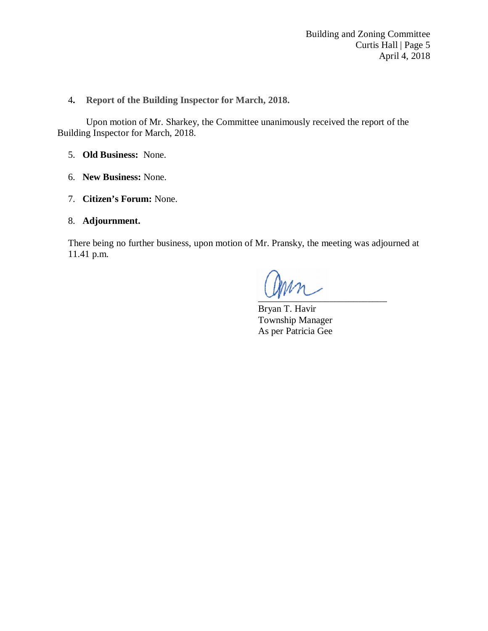4**. Report of the Building Inspector for March, 2018.**

Upon motion of Mr. Sharkey, the Committee unanimously received the report of the Building Inspector for March, 2018.

- 5. **Old Business:** None.
- 6. **New Business:** None.
- 7. **Citizen's Forum:** None.
- 8. **Adjournment.**

There being no further business, upon motion of Mr. Pransky, the meeting was adjourned at 11.41 p.m.

 $\sim$ r

Bryan T. Havir Township Manager As per Patricia Gee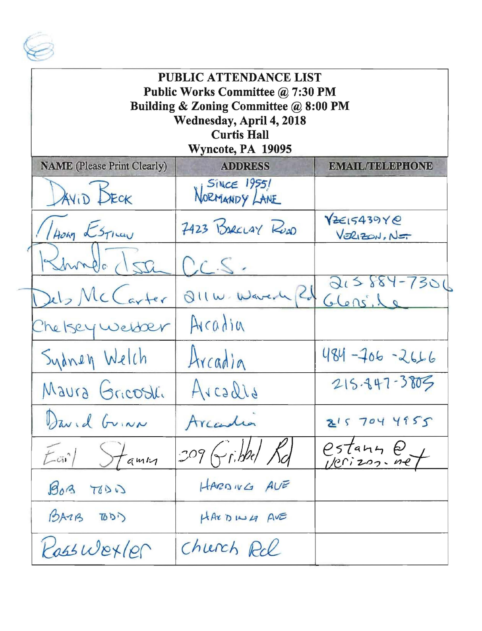

| PUBLIC ATTENDANCE LIST<br>Public Works Committee @ 7:30 PM<br>Building & Zoning Committee @ 8:00 PM<br>Wednesday, April 4, 2018<br><b>Curtis Hall</b><br>Wyncote, PA 19095 |                                     |                            |  |
|----------------------------------------------------------------------------------------------------------------------------------------------------------------------------|-------------------------------------|----------------------------|--|
| <b>NAME</b> (Please Print Clearly)                                                                                                                                         | <b>ADDRESS</b>                      | <b>EMAIL/TELEPHONE</b>     |  |
| DAVID BECK                                                                                                                                                                 | <b>SINCE 19551</b><br>NORMANDY LANE |                            |  |
| Hong Estia                                                                                                                                                                 | 7423 BARCLAY RUDO                   | YZE15439Y@<br>VERIZON, NET |  |
|                                                                                                                                                                            | $\mathcal{C}$ .                     |                            |  |
| Dels McCarter                                                                                                                                                              | $Q  w \cdot W$ aver $U$             | $215884 - 7301$<br>G lens. |  |
| The Isey webser                                                                                                                                                            | Arcadia                             |                            |  |
| Sydney Welch                                                                                                                                                               | Arcadia                             | $484 - 706 - 2666$         |  |
| Maura Gricosti                                                                                                                                                             | Arcadis                             | 215.847-3805               |  |
| David GuiNN                                                                                                                                                                | Arcadia                             | 2157044955                 |  |
| $E$ $\bar{u}$ <sup>1</sup><br>tamin                                                                                                                                        | 309 Gribbel Rd                      | estany et                  |  |
| BoB<br>TOLD                                                                                                                                                                | HARDIVG AVE                         |                            |  |
| BATB TODI                                                                                                                                                                  | HARDING AVE                         |                            |  |
| Rasswexler                                                                                                                                                                 | Church Rol                          |                            |  |